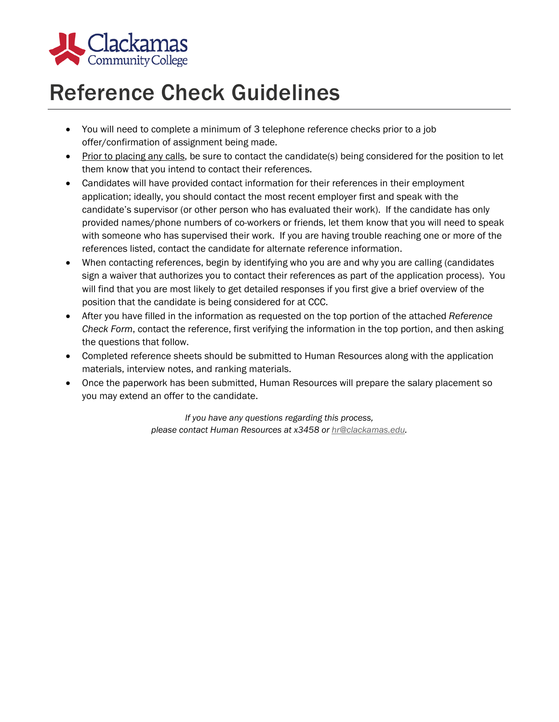

## Reference Check Guidelines

- You will need to complete a minimum of 3 telephone reference checks prior to a job offer/confirmation of assignment being made.
- Prior to placing any calls, be sure to contact the candidate(s) being considered for the position to let them know that you intend to contact their references.
- Candidates will have provided contact information for their references in their employment application; ideally, you should contact the most recent employer first and speak with the candidate's supervisor (or other person who has evaluated their work). If the candidate has only provided names/phone numbers of co-workers or friends, let them know that you will need to speak with someone who has supervised their work. If you are having trouble reaching one or more of the references listed, contact the candidate for alternate reference information.
- When contacting references, begin by identifying who you are and why you are calling (candidates sign a waiver that authorizes you to contact their references as part of the application process). You will find that you are most likely to get detailed responses if you first give a brief overview of the position that the candidate is being considered for at CCC.
- After you have filled in the information as requested on the top portion of the attached *Reference Check Form*, contact the reference, first verifying the information in the top portion, and then asking the questions that follow.
- Completed reference sheets should be submitted to Human Resources along with the application materials, interview notes, and ranking materials.
- Once the paperwork has been submitted, Human Resources will prepare the salary placement so you may extend an offer to the candidate.

*If you have any questions regarding this process, please contact Human Resources at x3458 or hr@clackamas.edu.*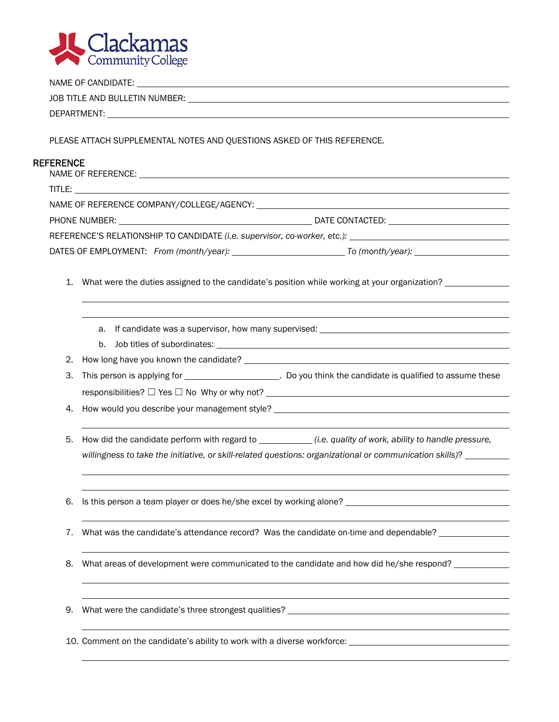

|                  | PLEASE ATTACH SUPPLEMENTAL NOTES AND QUESTIONS ASKED OF THIS REFERENCE. |                                                                                                                                                                                                                                     |  |
|------------------|-------------------------------------------------------------------------|-------------------------------------------------------------------------------------------------------------------------------------------------------------------------------------------------------------------------------------|--|
| <b>REFERENCE</b> |                                                                         |                                                                                                                                                                                                                                     |  |
|                  |                                                                         |                                                                                                                                                                                                                                     |  |
|                  |                                                                         |                                                                                                                                                                                                                                     |  |
|                  |                                                                         |                                                                                                                                                                                                                                     |  |
|                  |                                                                         |                                                                                                                                                                                                                                     |  |
|                  |                                                                         | REFERENCE'S RELATIONSHIP TO CANDIDATE (i.e. supervisor, co-worker, etc.): National Control of the Canada Control of the Canada Control of the Canada Control of the Canada Control of the Canada Control of the Canada Control      |  |
|                  |                                                                         |                                                                                                                                                                                                                                     |  |
|                  |                                                                         | 1. What were the duties assigned to the candidate's position while working at your organization?                                                                                                                                    |  |
|                  |                                                                         |                                                                                                                                                                                                                                     |  |
|                  |                                                                         |                                                                                                                                                                                                                                     |  |
|                  |                                                                         | a. If candidate was a supervisor, how many supervised: Network and the substitution of the substitution of the                                                                                                                      |  |
|                  |                                                                         |                                                                                                                                                                                                                                     |  |
|                  |                                                                         |                                                                                                                                                                                                                                     |  |
|                  | 3.                                                                      |                                                                                                                                                                                                                                     |  |
|                  |                                                                         | responsibilities? $\Box$ Yes $\Box$ No Why or why not? $\Box$ And the set of the set of the set of the set of the set of the set of the set of the set of the set of the set of the set of the set of the set of the set of the set |  |
|                  | 4.                                                                      |                                                                                                                                                                                                                                     |  |
|                  |                                                                         |                                                                                                                                                                                                                                     |  |
|                  | 5.                                                                      |                                                                                                                                                                                                                                     |  |
|                  |                                                                         | willingness to take the initiative, or skill-related questions: organizational or communication skills)?                                                                                                                            |  |
|                  |                                                                         |                                                                                                                                                                                                                                     |  |
|                  |                                                                         |                                                                                                                                                                                                                                     |  |
|                  | 6.                                                                      | Is this person a team player or does he/she excel by working alone? ________________________________                                                                                                                                |  |
|                  |                                                                         |                                                                                                                                                                                                                                     |  |
|                  | 7.                                                                      | What was the candidate's attendance record? Was the candidate on-time and dependable?                                                                                                                                               |  |
|                  | 8.                                                                      | What areas of development were communicated to the candidate and how did he/she respond?                                                                                                                                            |  |
|                  |                                                                         |                                                                                                                                                                                                                                     |  |
|                  |                                                                         |                                                                                                                                                                                                                                     |  |
|                  | 9.                                                                      |                                                                                                                                                                                                                                     |  |
|                  |                                                                         |                                                                                                                                                                                                                                     |  |
|                  |                                                                         | 10. Comment on the candidate's ability to work with a diverse workforce: ___________________________                                                                                                                                |  |
|                  |                                                                         |                                                                                                                                                                                                                                     |  |